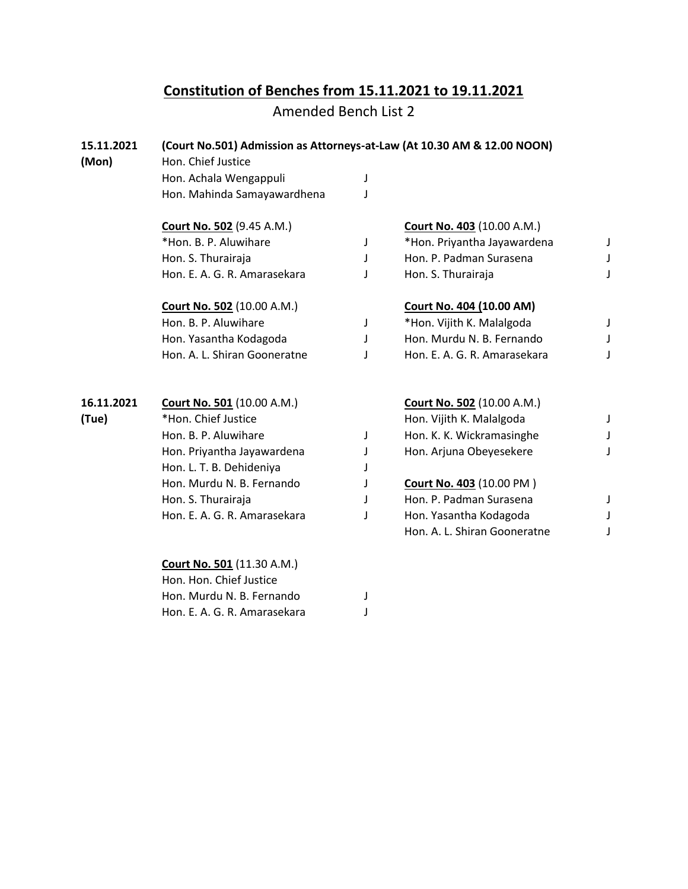## **Constitution of Benches from 15.11.2021 to 19.11.2021**

Amended Bench List 2

| 15.11.2021<br>(Mon) | (Court No.501) Admission as Attorneys-at-Law (At 10.30 AM & 12.00 NOON)<br>Hon. Chief Justice |   |                                   |             |
|---------------------|-----------------------------------------------------------------------------------------------|---|-----------------------------------|-------------|
|                     | Hon. Achala Wengappuli                                                                        | J |                                   |             |
|                     | Hon. Mahinda Samayawardhena                                                                   | J |                                   |             |
|                     | Court No. 502 (9.45 A.M.)                                                                     |   | <b>Court No. 403 (10.00 A.M.)</b> |             |
|                     | *Hon. B. P. Aluwihare                                                                         | J | *Hon. Priyantha Jayawardena       | J           |
|                     | Hon. S. Thurairaja                                                                            | J | Hon. P. Padman Surasena           | J           |
|                     | Hon. E. A. G. R. Amarasekara                                                                  | J | Hon. S. Thurairaja                | J           |
|                     | <b>Court No. 502 (10.00 A.M.)</b>                                                             |   | Court No. 404 (10.00 AM)          |             |
|                     | Hon. B. P. Aluwihare                                                                          | J | *Hon. Vijith K. Malalgoda         | J           |
|                     | Hon. Yasantha Kodagoda                                                                        | J | Hon. Murdu N. B. Fernando         | J           |
|                     | Hon. A. L. Shiran Gooneratne                                                                  | J | Hon. E. A. G. R. Amarasekara      | J           |
|                     |                                                                                               |   |                                   |             |
| 16.11.2021          | <b>Court No. 501 (10.00 A.M.)</b>                                                             |   | <b>Court No. 502 (10.00 A.M.)</b> |             |
| (Tue)               | *Hon. Chief Justice                                                                           |   | Hon. Vijith K. Malalgoda          | J           |
|                     | Hon. B. P. Aluwihare                                                                          | J | Hon. K. K. Wickramasinghe         | $\mathsf J$ |
|                     | Hon. Priyantha Jayawardena                                                                    | J | Hon. Arjuna Obeyesekere           | J           |
|                     | Hon. L. T. B. Dehideniya                                                                      |   |                                   |             |
|                     | Hon. Murdu N. B. Fernando                                                                     | J | Court No. 403 (10.00 PM)          |             |
|                     | Hon. S. Thurairaja                                                                            |   | Hon. P. Padman Surasena           | J           |
|                     | Hon. E. A. G. R. Amarasekara                                                                  | J | Hon. Yasantha Kodagoda            | J           |
|                     |                                                                                               |   | Hon. A. L. Shiran Gooneratne      | J           |
|                     | <b>Court No. 501 (11.30 A.M.)</b><br>Hon. Hon. Chief Justice                                  |   |                                   |             |
|                     | Hon. Murdu N. B. Fernando                                                                     | J |                                   |             |
|                     | Hon. E. A. G. R. Amarasekara                                                                  |   |                                   |             |